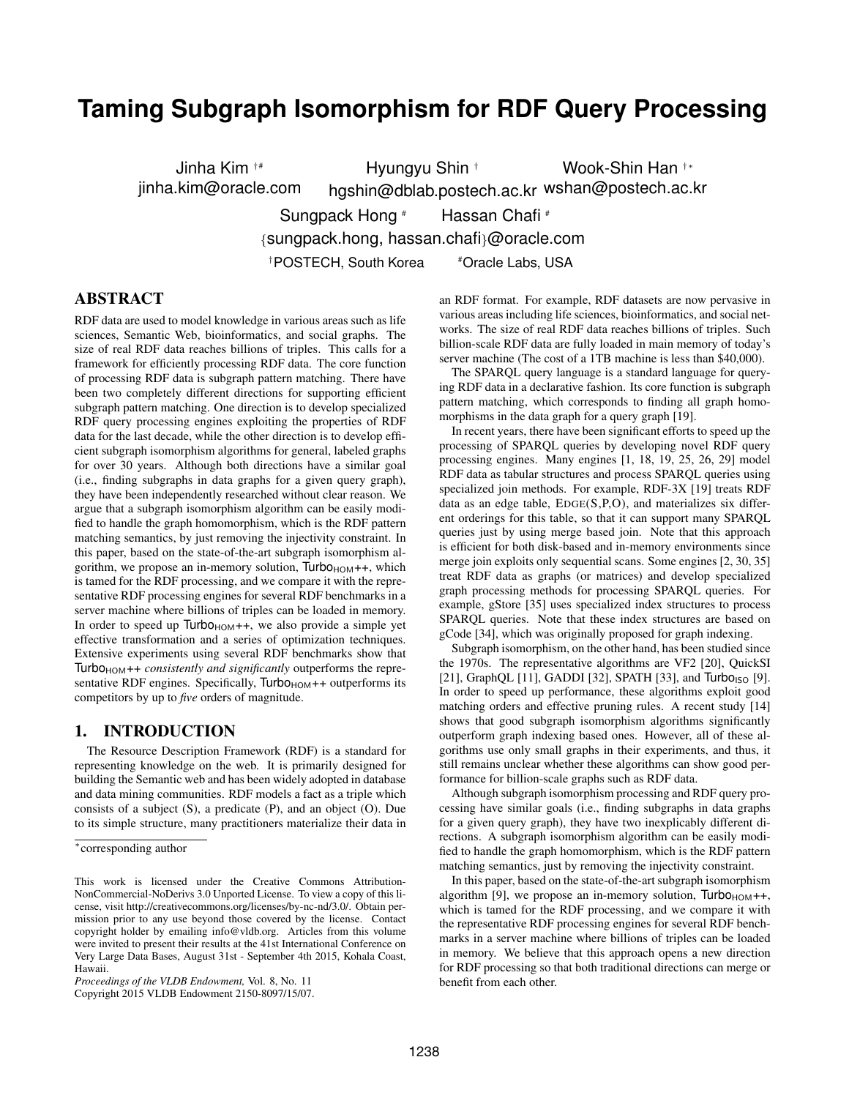# **Taming Subgraph Isomorphism for RDF Query Processing**

Jinha Kim †# jinha.kim@oracle.com Hyungyu Shin † hgshin@dblab.postech.ac.kr wshan@postech.ac.kr Wook-Shin Han <sup>†</sup>\* Sungpack Hong # Hassan Chafi # {sungpack.hong, hassan.chafi}@oracle.com †POSTECH, South Korea #Oracle Labs, USA

# ABSTRACT

RDF data are used to model knowledge in various areas such as life sciences, Semantic Web, bioinformatics, and social graphs. The size of real RDF data reaches billions of triples. This calls for a framework for efficiently processing RDF data. The core function of processing RDF data is subgraph pattern matching. There have been two completely different directions for supporting efficient subgraph pattern matching. One direction is to develop specialized RDF query processing engines exploiting the properties of RDF data for the last decade, while the other direction is to develop efficient subgraph isomorphism algorithms for general, labeled graphs for over 30 years. Although both directions have a similar goal (i.e., finding subgraphs in data graphs for a given query graph), they have been independently researched without clear reason. We argue that a subgraph isomorphism algorithm can be easily modified to handle the graph homomorphism, which is the RDF pattern matching semantics, by just removing the injectivity constraint. In this paper, based on the state-of-the-art subgraph isomorphism algorithm, we propose an in-memory solution,  $Turbo<sub>HOM</sub>++$ , which is tamed for the RDF processing, and we compare it with the representative RDF processing engines for several RDF benchmarks in a server machine where billions of triples can be loaded in memory. In order to speed up  $Turbo<sub>HOM</sub>++$ , we also provide a simple yet effective transformation and a series of optimization techniques. Extensive experiments using several RDF benchmarks show that Turbo<sub>HOM</sub>++ *consistently and significantly* outperforms the representative RDF engines. Specifically, Turbo<sub>HOM</sub>++ outperforms its competitors by up to *five* orders of magnitude.

## 1. INTRODUCTION

The Resource Description Framework (RDF) is a standard for representing knowledge on the web. It is primarily designed for building the Semantic web and has been widely adopted in database and data mining communities. RDF models a fact as a triple which consists of a subject (S), a predicate (P), and an object (O). Due to its simple structure, many practitioners materialize their data in an RDF format. For example, RDF datasets are now pervasive in various areas including life sciences, bioinformatics, and social networks. The size of real RDF data reaches billions of triples. Such billion-scale RDF data are fully loaded in main memory of today's server machine (The cost of a 1TB machine is less than \$40,000).

The SPARQL query language is a standard language for querying RDF data in a declarative fashion. Its core function is subgraph pattern matching, which corresponds to finding all graph homomorphisms in the data graph for a query graph [19].

In recent years, there have been significant efforts to speed up the processing of SPARQL queries by developing novel RDF query processing engines. Many engines [1, 18, 19, 25, 26, 29] model RDF data as tabular structures and process SPARQL queries using specialized join methods. For example, RDF-3X [19] treats RDF data as an edge table, EDGE(S,P,O), and materializes six different orderings for this table, so that it can support many SPARQL queries just by using merge based join. Note that this approach is efficient for both disk-based and in-memory environments since merge join exploits only sequential scans. Some engines [2, 30, 35] treat RDF data as graphs (or matrices) and develop specialized graph processing methods for processing SPARQL queries. For example, gStore [35] uses specialized index structures to process SPARQL queries. Note that these index structures are based on gCode [34], which was originally proposed for graph indexing.

Subgraph isomorphism, on the other hand, has been studied since the 1970s. The representative algorithms are VF2 [20], QuickSI [21], GraphQL [11], GADDI [32], SPATH [33], and  $Turbo<sub>ISO</sub>$  [9]. In order to speed up performance, these algorithms exploit good matching orders and effective pruning rules. A recent study [14] shows that good subgraph isomorphism algorithms significantly outperform graph indexing based ones. However, all of these algorithms use only small graphs in their experiments, and thus, it still remains unclear whether these algorithms can show good performance for billion-scale graphs such as RDF data.

Although subgraph isomorphism processing and RDF query processing have similar goals (i.e., finding subgraphs in data graphs for a given query graph), they have two inexplicably different directions. A subgraph isomorphism algorithm can be easily modified to handle the graph homomorphism, which is the RDF pattern matching semantics, just by removing the injectivity constraint.

In this paper, based on the state-of-the-art subgraph isomorphism algorithm [9], we propose an in-memory solution,  $Turbo<sub>HOM</sub>++$ , which is tamed for the RDF processing, and we compare it with the representative RDF processing engines for several RDF benchmarks in a server machine where billions of triples can be loaded in memory. We believe that this approach opens a new direction for RDF processing so that both traditional directions can merge or benefit from each other.

<sup>∗</sup> corresponding author

This work is licensed under the Creative Commons Attribution-NonCommercial-NoDerivs 3.0 Unported License. To view a copy of this license, visit http://creativecommons.org/licenses/by-nc-nd/3.0/. Obtain permission prior to any use beyond those covered by the license. Contact copyright holder by emailing info@vldb.org. Articles from this volume were invited to present their results at the 41st International Conference on Very Large Data Bases, August 31st - September 4th 2015, Kohala Coast, Hawaii.

*Proceedings of the VLDB Endowment,* Vol. 8, No. 11

Copyright 2015 VLDB Endowment 2150-8097/15/07.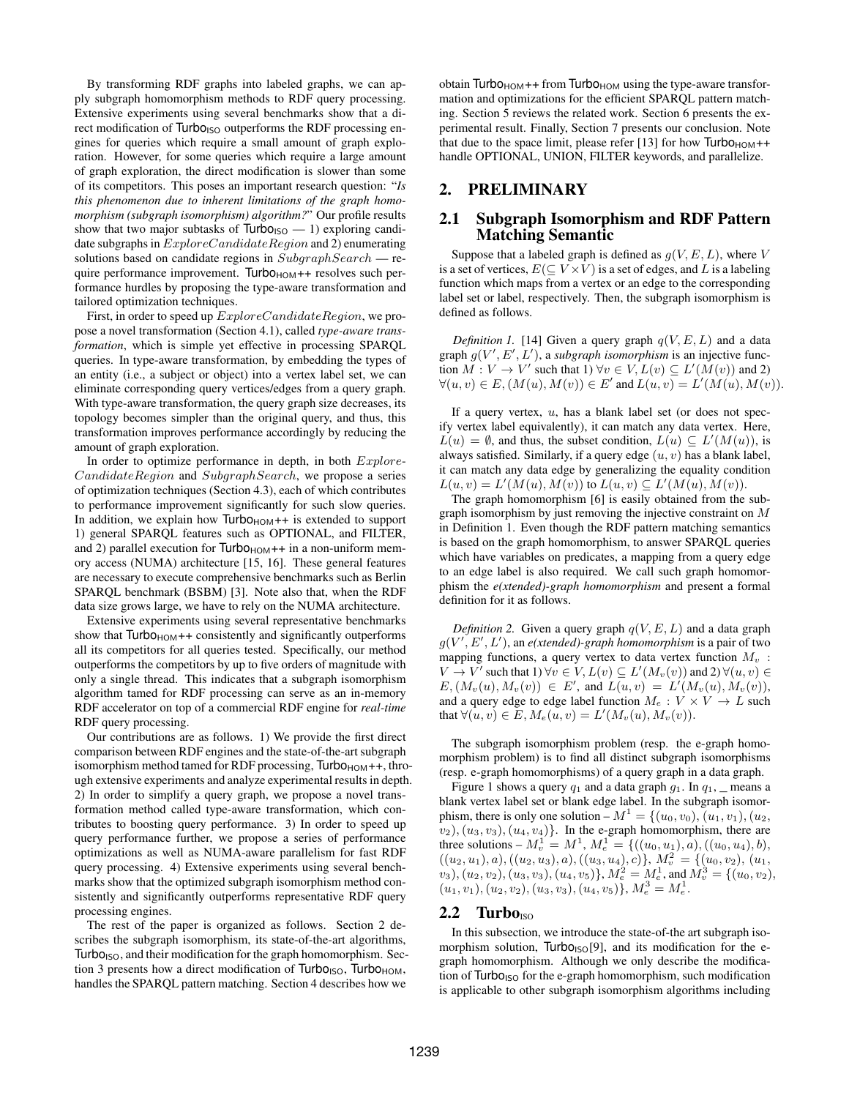By transforming RDF graphs into labeled graphs, we can apply subgraph homomorphism methods to RDF query processing. Extensive experiments using several benchmarks show that a direct modification of  $Turbo<sub>ISO</sub>$  outperforms the RDF processing engines for queries which require a small amount of graph exploration. However, for some queries which require a large amount of graph exploration, the direct modification is slower than some of its competitors. This poses an important research question: "*Is this phenomenon due to inherent limitations of the graph homomorphism (subgraph isomorphism) algorithm?*" Our profile results show that two major subtasks of  $Turbo<sub>ISO</sub>$  — 1) exploring candidate subgraphs in  $ExploreC and idateRegion$  and 2) enumerating solutions based on candidate regions in  $SubgraphSearch$ — require performance improvement. Turbo $H_{\text{HOM}}$ ++ resolves such performance hurdles by proposing the type-aware transformation and tailored optimization techniques.

First, in order to speed up  $ExploreC andidateRegion$ , we propose a novel transformation (Section 4.1), called *type-aware transformation*, which is simple yet effective in processing SPARQL queries. In type-aware transformation, by embedding the types of an entity (i.e., a subject or object) into a vertex label set, we can eliminate corresponding query vertices/edges from a query graph. With type-aware transformation, the query graph size decreases, its topology becomes simpler than the original query, and thus, this transformation improves performance accordingly by reducing the amount of graph exploration.

In order to optimize performance in depth, in both  $Explore$ -CandidateRegion and SubgraphSearch, we propose a series of optimization techniques (Section 4.3), each of which contributes to performance improvement significantly for such slow queries. In addition, we explain how  $Turbo<sub>HOM</sub>++$  is extended to support 1) general SPARQL features such as OPTIONAL, and FILTER, and 2) parallel execution for  $Turbo<sub>HOM</sub>++$  in a non-uniform memory access (NUMA) architecture [15, 16]. These general features are necessary to execute comprehensive benchmarks such as Berlin SPARQL benchmark (BSBM) [3]. Note also that, when the RDF data size grows large, we have to rely on the NUMA architecture.

Extensive experiments using several representative benchmarks show that  $Turbo<sub>HOM</sub>++$  consistently and significantly outperforms all its competitors for all queries tested. Specifically, our method outperforms the competitors by up to five orders of magnitude with only a single thread. This indicates that a subgraph isomorphism algorithm tamed for RDF processing can serve as an in-memory RDF accelerator on top of a commercial RDF engine for *real-time* RDF query processing.

Our contributions are as follows. 1) We provide the first direct comparison between RDF engines and the state-of-the-art subgraph isomorphism method tamed for RDF processing, Turbo<sub>HOM</sub>++, through extensive experiments and analyze experimental results in depth. 2) In order to simplify a query graph, we propose a novel transformation method called type-aware transformation, which contributes to boosting query performance. 3) In order to speed up query performance further, we propose a series of performance optimizations as well as NUMA-aware parallelism for fast RDF query processing. 4) Extensive experiments using several benchmarks show that the optimized subgraph isomorphism method consistently and significantly outperforms representative RDF query processing engines.

The rest of the paper is organized as follows. Section 2 describes the subgraph isomorphism, its state-of-the-art algorithms, Turbo<sub>ISO</sub>, and their modification for the graph homomorphism. Section 3 presents how a direct modification of Turbo<sub>ISO</sub>, Turbo<sub>HOM</sub>, handles the SPARQL pattern matching. Section 4 describes how we

obtain Turbo $H_{\text{HOM}} + f$  from Turbo $H_{\text{HOM}}$  using the type-aware transformation and optimizations for the efficient SPARQL pattern matching. Section 5 reviews the related work. Section 6 presents the experimental result. Finally, Section 7 presents our conclusion. Note that due to the space limit, please refer [13] for how  $Turbo<sub>HOM</sub>$ ++ handle OPTIONAL, UNION, FILTER keywords, and parallelize.

# 2. PRELIMINARY

#### 2.1 Subgraph Isomorphism and RDF Pattern Matching Semantic

Suppose that a labeled graph is defined as  $g(V, E, L)$ , where V is a set of vertices,  $E(\subseteq V\times V)$  is a set of edges, and  $L$  is a labeling function which maps from a vertex or an edge to the corresponding label set or label, respectively. Then, the subgraph isomorphism is defined as follows.

*Definition 1.* [14] Given a query graph  $q(V, E, L)$  and a data graph  $g(V', E', L')$ , a *subgraph isomorphism* is an injective function  $M: V \to V'$  such that  $1)$   $\forall v \in V, L(v) \subseteq L'(M(v))$  and 2)  $\forall (u, v) \in E, (M(u), M(v)) \in E'$  and  $L(u, v) = L'(M(u), M(v))$ .

If a query vertex,  $u$ , has a blank label set (or does not specify vertex label equivalently), it can match any data vertex. Here,  $L(u) = \emptyset$ , and thus, the subset condition,  $L(u) \subseteq L'(M(u))$ , is always satisfied. Similarly, if a query edge  $(u, v)$  has a blank label, it can match any data edge by generalizing the equality condition  $L(u, v) = L'(M(u), M(v))$  to  $L(u, v) \subseteq L'(M(u), M(v)).$ 

The graph homomorphism [6] is easily obtained from the subgraph isomorphism by just removing the injective constraint on  $M$ in Definition 1. Even though the RDF pattern matching semantics is based on the graph homomorphism, to answer SPARQL queries which have variables on predicates, a mapping from a query edge to an edge label is also required. We call such graph homomorphism the *e(xtended)-graph homomorphism* and present a formal definition for it as follows.

*Definition 2.* Given a query graph  $q(V, E, L)$  and a data graph  $g(V', E', L')$ , an *e*(xtended)-graph homomorphism is a pair of two mapping functions, a query vertex to data vertex function  $M_v$ :  $V \to V'$  such that  $1 \forall v \in V, L(v) \subseteq L'(M_v(v))$  and  $2 \forall (u, v) \in$  $E,(M_v(u),M_v(v)) \in E'$ , and  $L(u,v) = L'(M_v(u),M_v(v)),$ and a query edge to edge label function  $M_e: V \times V \rightarrow L$  such that  $\forall (u, v) \in E, M_e(u, v) = L'(M_v(u), M_v(v)).$ 

The subgraph isomorphism problem (resp. the e-graph homomorphism problem) is to find all distinct subgraph isomorphisms (resp. e-graph homomorphisms) of a query graph in a data graph.

Figure 1 shows a query  $q_1$  and a data graph  $q_1$ . In  $q_1$ , means a blank vertex label set or blank edge label. In the subgraph isomorphism, there is only one solution –  $M^1 = \{(u_0, v_0), (u_1, v_1), (u_2,$  $v_2$ ,  $(u_3, v_3)$ ,  $(u_4, v_4)$ . In the e-graph homomorphism, there are three solutions  $-M_v^1 = M^1$ ,  $M_e^1 = \{((u_0, u_1), a), ((u_0, u_4), b),$  $((u_2, u_1), a), ((u_2, u_3), a), ((u_3, u_4), c)\}, M_v^2 = \{(u_0, v_2), (u_1,$  $(v_3), (u_2, v_2), (u_3, v_3), (u_4, v_5) \}, M_e^2 = M_e^1$ , and  $M_v^3 = \{(u_0, v_2),$  $(u_1, v_1), (u_2, v_2), (u_3, v_3), (u_4, v_5) \}, M_e^3 = M_e^1.$ 

#### $2.2$  Turbo<sub>ISO</sub>

In this subsection, we introduce the state-of-the art subgraph isomorphism solution,  $Turbo<sub>ISO</sub>[9]$ , and its modification for the egraph homomorphism. Although we only describe the modification of  $Turbo<sub>ISO</sub>$  for the e-graph homomorphism, such modification is applicable to other subgraph isomorphism algorithms including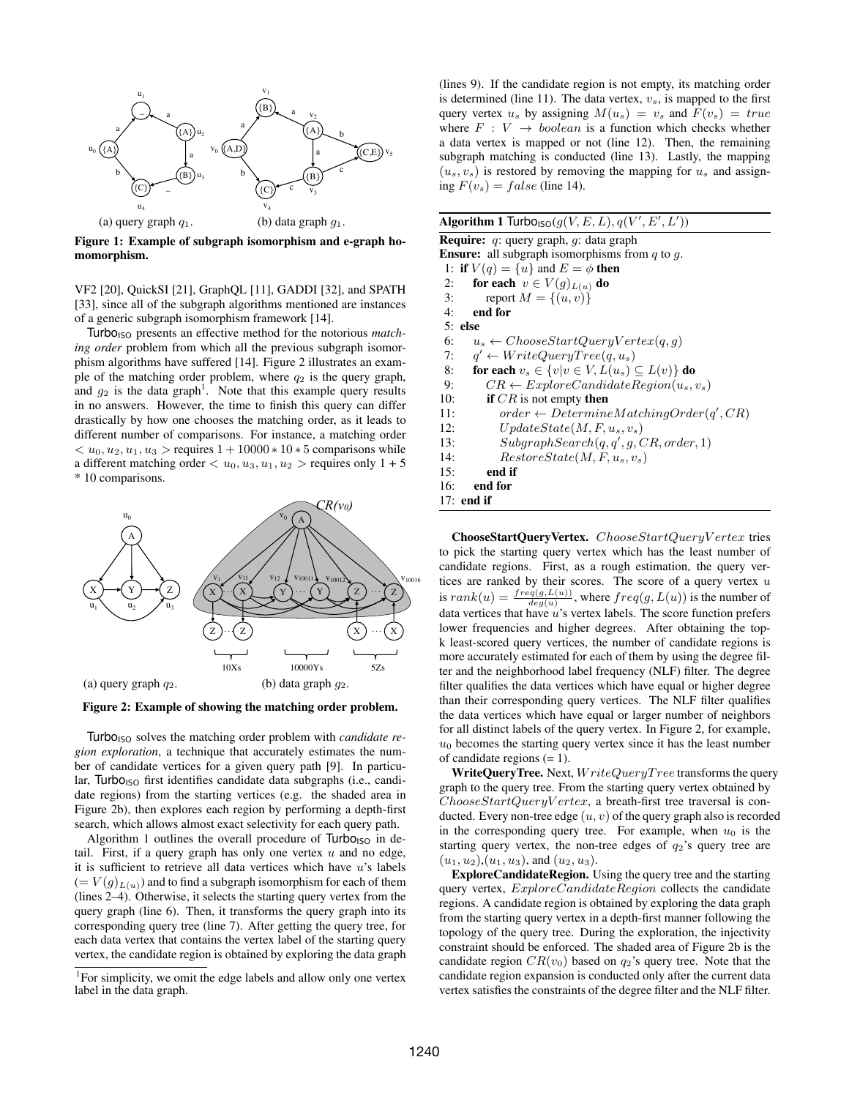

Figure 1: Example of subgraph isomorphism and e-graph homomorphism.

VF2 [20], QuickSI [21], GraphQL [11], GADDI [32], and SPATH [33], since all of the subgraph algorithms mentioned are instances of a generic subgraph isomorphism framework [14].

Turbo<sub>ISO</sub> presents an effective method for the notorious *matching order* problem from which all the previous subgraph isomorphism algorithms have suffered [14]. Figure 2 illustrates an example of the matching order problem, where  $q_2$  is the query graph, and  $g_2$  is the data graph<sup>1</sup>. Note that this example query results in no answers. However, the time to finish this query can differ drastically by how one chooses the matching order, as it leads to different number of comparisons. For instance, a matching order  $< u_0, u_2, u_1, u_3 >$  requires  $1 + 10000 * 10 * 5$  comparisons while a different matching order  $\langle u_0, u_3, u_1, u_2 \rangle$  requires only  $1 + 5$ \* 10 comparisons.



Figure 2: Example of showing the matching order problem.

Turbo<sub>ISO</sub> solves the matching order problem with *candidate region exploration*, a technique that accurately estimates the number of candidate vertices for a given query path [9]. In particular, Turbo $_{ISO}$  first identifies candidate data subgraphs (i.e., candidate regions) from the starting vertices (e.g. the shaded area in Figure 2b), then explores each region by performing a depth-first search, which allows almost exact selectivity for each query path.

Algorithm 1 outlines the overall procedure of  $Turbo<sub>ISO</sub>$  in detail. First, if a query graph has only one vertex  $u$  and no edge, it is sufficient to retrieve all data vertices which have  $u$ 's labels  $(= V(g)_{L(u)})$  and to find a subgraph isomorphism for each of them (lines 2–4). Otherwise, it selects the starting query vertex from the query graph (line 6). Then, it transforms the query graph into its corresponding query tree (line 7). After getting the query tree, for each data vertex that contains the vertex label of the starting query vertex, the candidate region is obtained by exploring the data graph (lines 9). If the candidate region is not empty, its matching order is determined (line 11). The data vertex,  $v_s$ , is mapped to the first query vertex  $u_s$  by assigning  $M(u_s) = v_s$  and  $F(v_s) = true$ where  $F : V \rightarrow boolean$  is a function which checks whether a data vertex is mapped or not (line 12). Then, the remaining subgraph matching is conducted (line 13). Lastly, the mapping  $(u_s, v_s)$  is restored by removing the mapping for  $u_s$  and assigning  $F(v_s) = false$  (line 14).

| <b>Algorithm 1 Turbo</b> <sub>lsO</sub> $(g(V, E, L), q(V', E', L'))$ |
|-----------------------------------------------------------------------|
| <b>Require:</b> q: query graph, q: data graph                         |
| <b>Ensure:</b> all subgraph isomorphisms from $q$ to $q$ .            |
| 1: if $V(q) = \{u\}$ and $E = \phi$ then                              |
| for each $v \in V(g)_{L(u)}$ do<br>2:                                 |
| report $M = \{(u, v)\}\$<br>3:                                        |
| 4:<br>end for                                                         |
| $5:$ else                                                             |
| 6:<br>$u_s \leftarrow ChooseStartQueryVertex(q, q)$                   |
| $q' \leftarrow WriteQueryTree(q, u_s)$<br>7:                          |
| for each $v_s \in \{v v \in V, L(u_s) \subseteq L(v)\}\$ do<br>8:     |
| $CR \leftarrow ExploreC and idateRegion(u_s, v_s)$<br>9:              |
| if $CR$ is not empty then<br>10:                                      |
| $order \leftarrow DetermineMatchingOrder(q', CR)$<br>11:              |
| $UpdateState(M, F, u_s, v_s)$<br>12:                                  |
| $SubgraphSearch(q, q', q, CR, order, 1)$<br>13:                       |
| $RestoreState(M, F, us, vs)$<br>14:                                   |
| end if<br>15:                                                         |
| 16:<br>end for                                                        |
| $17:$ end if                                                          |
|                                                                       |

ChooseStartQueryVertex. ChooseStartQueryV ertex tries to pick the starting query vertex which has the least number of candidate regions. First, as a rough estimation, the query vertices are ranked by their scores. The score of a query vertex  $u$ is  $rank(u) = \frac{freq(g, L(u))}{deg(u)}$ , where  $freq(g, L(u))$  is the number of data vertices that have  $u$ 's vertex labels. The score function prefers lower frequencies and higher degrees. After obtaining the topk least-scored query vertices, the number of candidate regions is more accurately estimated for each of them by using the degree filter and the neighborhood label frequency (NLF) filter. The degree filter qualifies the data vertices which have equal or higher degree than their corresponding query vertices. The NLF filter qualifies the data vertices which have equal or larger number of neighbors for all distinct labels of the query vertex. In Figure 2, for example,  $u_0$  becomes the starting query vertex since it has the least number of candidate regions  $(= 1)$ .

WriteQueryTree. Next,  $WriteQueryTree$  transforms the query graph to the query tree. From the starting query vertex obtained by  $ChooseStartQueryVertex$ , a breath-first tree traversal is conducted. Every non-tree edge  $(u, v)$  of the query graph also is recorded in the corresponding query tree. For example, when  $u_0$  is the starting query vertex, the non-tree edges of  $q_2$ 's query tree are  $(u_1, u_2), (u_1, u_3)$ , and  $(u_2, u_3)$ .

ExploreCandidateRegion. Using the query tree and the starting query vertex,  $ExploreC and *idade Region* collects the candidate$ regions. A candidate region is obtained by exploring the data graph from the starting query vertex in a depth-first manner following the topology of the query tree. During the exploration, the injectivity constraint should be enforced. The shaded area of Figure 2b is the candidate region  $CR(v_0)$  based on  $q_2$ 's query tree. Note that the candidate region expansion is conducted only after the current data vertex satisfies the constraints of the degree filter and the NLF filter.

<sup>&</sup>lt;sup>1</sup>For simplicity, we omit the edge labels and allow only one vertex label in the data graph.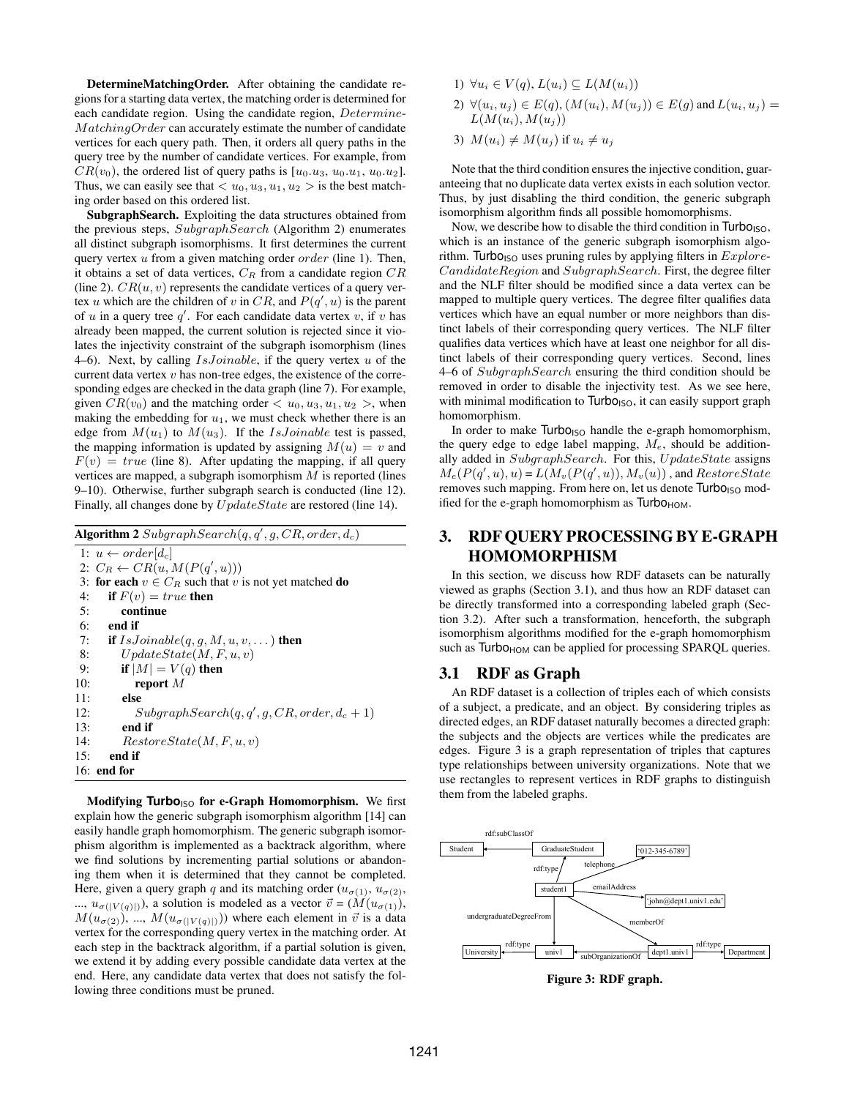DetermineMatchingOrder. After obtaining the candidate regions for a starting data vertex, the matching order is determined for each candidate region. Using the candidate region, Determine-MatchingOrder can accurately estimate the number of candidate vertices for each query path. Then, it orders all query paths in the query tree by the number of candidate vertices. For example, from  $CR(v_0)$ , the ordered list of query paths is [ $u_0.u_3, u_0.u_1, u_0.u_2$ ]. Thus, we can easily see that  $\langle u_0, u_3, u_1, u_2 \rangle$  is the best matching order based on this ordered list.

SubgraphSearch. Exploiting the data structures obtained from the previous steps, SubgraphSearch (Algorithm 2) enumerates all distinct subgraph isomorphisms. It first determines the current query vertex  $u$  from a given matching order *order* (line 1). Then, it obtains a set of data vertices,  $C_R$  from a candidate region  $CR$ (line 2).  $CR(u, v)$  represents the candidate vertices of a query vertex u which are the children of v in CR, and  $P(q', u)$  is the parent of  $u$  in a query tree  $q'$ . For each candidate data vertex  $v$ , if  $v$  has already been mapped, the current solution is rejected since it violates the injectivity constraint of the subgraph isomorphism (lines 4–6). Next, by calling  $IsJoinable$ , if the query vertex u of the current data vertex  $v$  has non-tree edges, the existence of the corresponding edges are checked in the data graph (line 7). For example, given  $CR(v_0)$  and the matching order  $\langle u_0, u_3, u_1, u_2 \rangle$ , when making the embedding for  $u_1$ , we must check whether there is an edge from  $M(u_1)$  to  $M(u_3)$ . If the *IsJoinable* test is passed, the mapping information is updated by assigning  $M(u) = v$  and  $F(v) = true$  (line 8). After updating the mapping, if all query vertices are mapped, a subgraph isomorphism  $M$  is reported (lines 9–10). Otherwise, further subgraph search is conducted (line 12). Finally, all changes done by  $UpdateState$  are restored (line 14).

Algorithm 2  $SubgraphSearch(q, q', g, CR, order, d_c)$ 

1:  $u \leftarrow order[d_c]$ 2:  $C_R \leftarrow CR(u, M(P(q', u)))$ 3: for each  $v \in C_R$  such that v is not yet matched do 4: if  $F(v) = true$  then 5: continue 6: end if 7: if  $IsJoinable(q, g, M, u, v, ...)$  then 8:  $UpdateState(M, F, u, v)$ 9: if  $|M| = V(q)$  then 10: report  $M$ 11: else 12:  $SubgraphSearch(q, q', g, CR, order, d_c + 1)$ 13: end if 14:  $Resto{rate}(M, F, u, v)$ 15: end if 16: end for

Modifying Turbo<sub>ISO</sub> for e-Graph Homomorphism. We first explain how the generic subgraph isomorphism algorithm [14] can easily handle graph homomorphism. The generic subgraph isomorphism algorithm is implemented as a backtrack algorithm, where we find solutions by incrementing partial solutions or abandoning them when it is determined that they cannot be completed. Here, given a query graph q and its matching order  $(u_{\sigma(1)}, u_{\sigma(2)},$ ...,  $u_{\sigma(|V(q)|)}$ ), a solution is modeled as a vector  $\vec{v} = (\hat{M}(u_{\sigma(1)}))$ ,  $M(u_{\sigma(2)})$ , ...,  $M(u_{\sigma(|V(q)|)})$  where each element in  $\vec{v}$  is a data vertex for the corresponding query vertex in the matching order. At each step in the backtrack algorithm, if a partial solution is given, we extend it by adding every possible candidate data vertex at the end. Here, any candidate data vertex that does not satisfy the following three conditions must be pruned.

- 1)  $\forall u_i \in V(q), L(u_i) \subseteq L(M(u_i))$
- 2)  $\forall (u_i, u_j) \in E(q), (M(u_i), M(u_j)) \in E(q)$  and  $L(u_i, u_j) =$  $L(M(u_i), M(u_j))$
- 3)  $M(u_i) \neq M(u_j)$  if  $u_i \neq u_j$

Note that the third condition ensures the injective condition, guaranteeing that no duplicate data vertex exists in each solution vector. Thus, by just disabling the third condition, the generic subgraph isomorphism algorithm finds all possible homomorphisms.

Now, we describe how to disable the third condition in  $Turbo<sub>ISO</sub>$ , which is an instance of the generic subgraph isomorphism algorithm. Turbo<sub>ISO</sub> uses pruning rules by applying filters in  $Explore$ -CandidateRegion and SubgraphSearch. First, the degree filter and the NLF filter should be modified since a data vertex can be mapped to multiple query vertices. The degree filter qualifies data vertices which have an equal number or more neighbors than distinct labels of their corresponding query vertices. The NLF filter qualifies data vertices which have at least one neighbor for all distinct labels of their corresponding query vertices. Second, lines 4–6 of SubgraphSearch ensuring the third condition should be removed in order to disable the injectivity test. As we see here, with minimal modification to  $Turbo<sub>ISO</sub>$ , it can easily support graph homomorphism.

In order to make  $Turbo<sub>ISO</sub>$  handle the e-graph homomorphism, the query edge to edge label mapping,  $M_e$ , should be additionally added in SubgraphSearch. For this, UpdateState assigns  $M_e(P(q', u), u) = L(M_v(P(q', u)), M_v(u))$ , and  $RestoreState$ removes such mapping. From here on, let us denote  $Turbo<sub>ISO</sub>$  modified for the e-graph homomorphism as Turbo<sub>HOM</sub>.

# 3. RDF QUERY PROCESSING BY E-GRAPH HOMOMORPHISM

In this section, we discuss how RDF datasets can be naturally viewed as graphs (Section 3.1), and thus how an RDF dataset can be directly transformed into a corresponding labeled graph (Section 3.2). After such a transformation, henceforth, the subgraph isomorphism algorithms modified for the e-graph homomorphism such as  $Turbo<sub>HOM</sub>$  can be applied for processing SPARQL queries.

#### 3.1 RDF as Graph

An RDF dataset is a collection of triples each of which consists of a subject, a predicate, and an object. By considering triples as directed edges, an RDF dataset naturally becomes a directed graph: the subjects and the objects are vertices while the predicates are edges. Figure 3 is a graph representation of triples that captures type relationships between university organizations. Note that we use rectangles to represent vertices in RDF graphs to distinguish them from the labeled graphs.



Figure 3: RDF graph.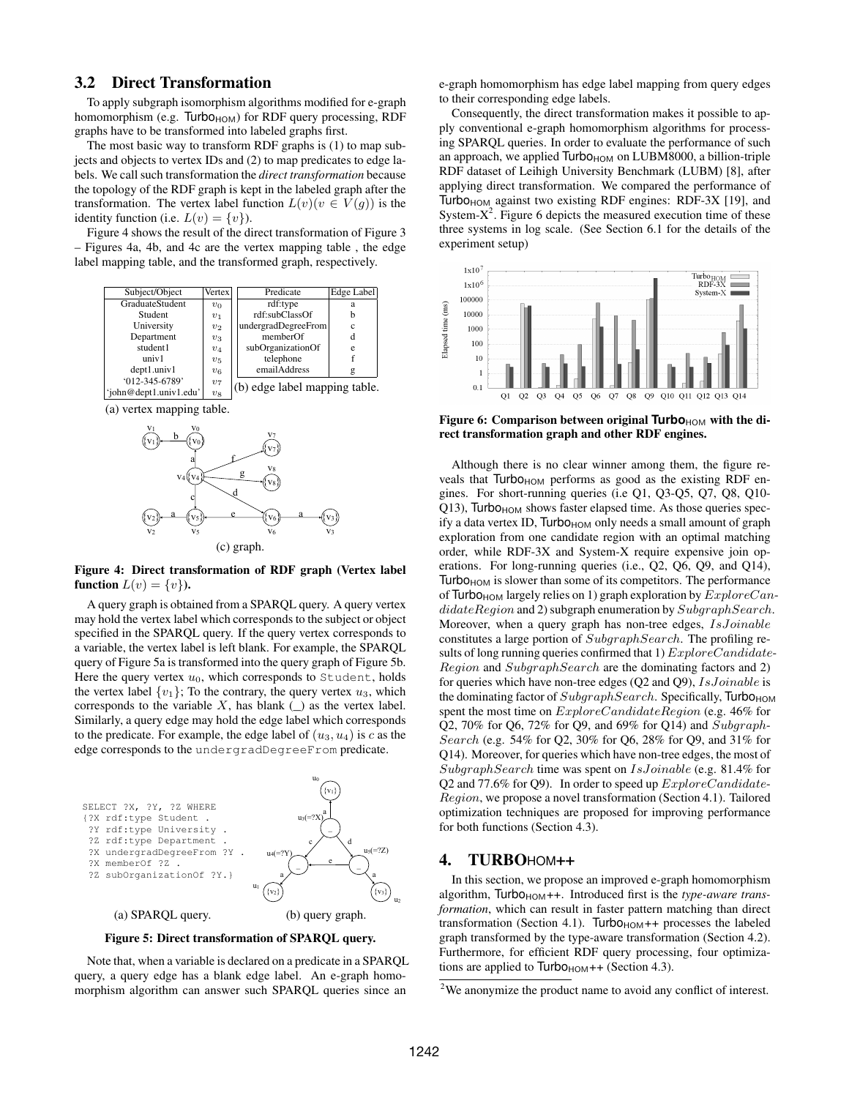#### 3.2 Direct Transformation

To apply subgraph isomorphism algorithms modified for e-graph homomorphism (e.g. Turbo $_{HOM}$ ) for RDF query processing, RDF graphs have to be transformed into labeled graphs first.

The most basic way to transform RDF graphs is (1) to map subjects and objects to vertex IDs and (2) to map predicates to edge labels. We call such transformation the *direct transformation* because the topology of the RDF graph is kept in the labeled graph after the transformation. The vertex label function  $L(v)(v \in V(g))$  is the identity function (i.e.  $L(v) = \{v\}$ ).

Figure 4 shows the result of the direct transformation of Figure 3 – Figures 4a, 4b, and 4c are the vertex mapping table , the edge label mapping table, and the transformed graph, respectively.



(a) vertex mapping table.



Figure 4: Direct transformation of RDF graph (Vertex label function  $L(v) = \{v\}$ ).

A query graph is obtained from a SPARQL query. A query vertex may hold the vertex label which corresponds to the subject or object specified in the SPARQL query. If the query vertex corresponds to a variable, the vertex label is left blank. For example, the SPARQL query of Figure 5a is transformed into the query graph of Figure 5b. Here the query vertex  $u_0$ , which corresponds to Student, holds the vertex label  $\{v_1\}$ ; To the contrary, the query vertex  $u_3$ , which corresponds to the variable X, has blank  $\Box$  as the vertex label. Similarly, a query edge may hold the edge label which corresponds to the predicate. For example, the edge label of  $(u_3, u_4)$  is c as the edge corresponds to the undergradDegreeFrom predicate.



Figure 5: Direct transformation of SPARQL query.

Note that, when a variable is declared on a predicate in a SPARQL query, a query edge has a blank edge label. An e-graph homomorphism algorithm can answer such SPARQL queries since an

e-graph homomorphism has edge label mapping from query edges to their corresponding edge labels.

Consequently, the direct transformation makes it possible to apply conventional e-graph homomorphism algorithms for processing SPARQL queries. In order to evaluate the performance of such an approach, we applied  $Turbo<sub>HOM</sub>$  on LUBM8000, a billion-triple RDF dataset of Leihigh University Benchmark (LUBM) [8], after applying direct transformation. We compared the performance of Turbo<sub>HOM</sub> against two existing RDF engines: RDF-3X [19], and System- $X^2$ . Figure 6 depicts the measured execution time of these three systems in log scale. (See Section 6.1 for the details of the experiment setup)



Figure 6: Comparison between original **Turbo**<sub>HOM</sub> with the direct transformation graph and other RDF engines.

Although there is no clear winner among them, the figure reveals that  $Turbo<sub>HOM</sub>$  performs as good as the existing RDF engines. For short-running queries (i.e Q1, Q3-Q5, Q7, Q8, Q10-  $Q13$ ), Turbo<sub>HOM</sub> shows faster elapsed time. As those queries specify a data vertex ID,  $\frac{T}{1000}$  only needs a small amount of graph exploration from one candidate region with an optimal matching order, while RDF-3X and System-X require expensive join operations. For long-running queries (i.e., Q2, Q6, Q9, and Q14), Turbo $H_{\text{HOM}}$  is slower than some of its competitors. The performance of Turbo<sub>HOM</sub> largely relies on 1) graph exploration by  $ExploreCan$ didateRegion and 2) subgraph enumeration by SubgraphSearch. Moreover, when a query graph has non-tree edges, IsJoinable constitutes a large portion of SubgraphSearch. The profiling results of long running queries confirmed that 1)  $ExploreC and idate-$ Region and SubgraphSearch are the dominating factors and 2) for queries which have non-tree edges (Q2 and Q9), IsJoinable is the dominating factor of  $SubgraphSearch$ . Specifically, Turbo<sub>HOM</sub> spent the most time on  $ExploreC and datai$ egion (e.g. 46% for Q2, 70% for Q6, 72% for Q9, and 69% for Q14) and Subgraph-Search (e.g. 54% for Q2, 30% for Q6, 28% for Q9, and 31% for Q14). Moreover, for queries which have non-tree edges, the most of SubgraphSearch time was spent on IsJoinable (e.g. 81.4% for Q2 and 77.6% for Q9). In order to speed up  $ExploreC and idate-$ Region, we propose a novel transformation (Section 4.1). Tailored optimization techniques are proposed for improving performance for both functions (Section 4.3).

#### 4. TURBOHOM++

In this section, we propose an improved e-graph homomorphism algorithm, Turbo<sub>HOM</sub>++. Introduced first is the *type-aware transformation*, which can result in faster pattern matching than direct transformation (Section 4.1). Turbo $H$ <sub>HOM</sub>++ processes the labeled graph transformed by the type-aware transformation (Section 4.2). Furthermore, for efficient RDF query processing, four optimizations are applied to  $Turbo<sub>HOM</sub>++$  (Section 4.3).

<sup>2</sup>We anonymize the product name to avoid any conflict of interest.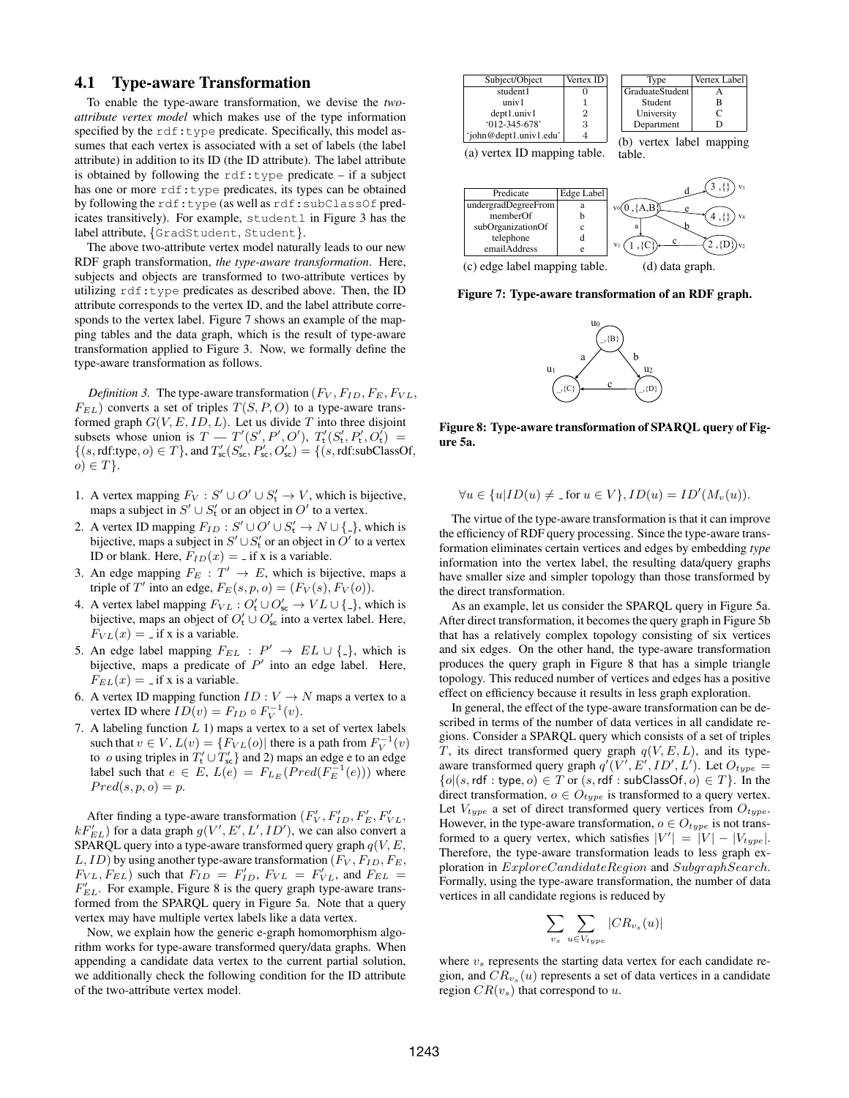#### 4.1 Type-aware Transformation

To enable the type-aware transformation, we devise the *twoattribute vertex model* which makes use of the type information specified by the rdf:type predicate. Specifically, this model assumes that each vertex is associated with a set of labels (the label attribute) in addition to its ID (the ID attribute). The label attribute is obtained by following the  $\text{rdf:type}$  predicate – if a subject has one or more rdf:type predicates, its types can be obtained by following the rdf:type (as well as rdf:subClassOf predicates transitively). For example, student1 in Figure 3 has the label attribute, {GradStudent, Student}.

The above two-attribute vertex model naturally leads to our new RDF graph transformation, *the type-aware transformation*. Here, subjects and objects are transformed to two-attribute vertices by utilizing  $\text{rdf:type}$  predicates as described above. Then, the ID attribute corresponds to the vertex ID, and the label attribute corresponds to the vertex label. Figure 7 shows an example of the mapping tables and the data graph, which is the result of type-aware transformation applied to Figure 3. Now, we formally define the type-aware transformation as follows.

*Definition 3.* The type-aware transformation  $(F_V, F_{ID}, F_E, F_{VL},$  $F_{EL}$ ) converts a set of triples  $T(S, P, O)$  to a type-aware transformed graph  $G(V, E, ID, L)$ . Let us divide T into three disjoint subsets whose union is  $T - T'(S', P', O'), T'_{t}(S'_{t}, P'_{t}, O'_{t}) =$  $\{(s, rdf: type, o) \in T\}$ , and  $T'_{\text{sc}}(S'_{\text{sc}}, P'_{\text{sc}}, O'_{\text{sc}}) = \{(s, rdf: subClassOf,$  $o) \in T$ .

- 1. A vertex mapping  $F_V : S' \cup O' \cup S'_t \rightarrow V$ , which is bijective, maps a subject in  $S' \cup S'_t$  or an object in  $O'$  to a vertex.
- 2. A vertex ID mapping  $F_{ID}: S' \cup O' \cup S'_{t} \rightarrow N \cup \{-\}$ , which is bijective, maps a subject in  $S' \cup S'_{t}$  or an object in  $O'$  to a vertex ID or blank. Here,  $F_{ID}(x) = \text{if } x \text{ is a variable.}$
- 3. An edge mapping  $F_E : T' \to E$ , which is bijective, maps a triple of T' into an edge,  $F_E(s, p, o) = (F_V(s), F_V(o)).$
- 4. A vertex label mapping  $F_{VL}: O'_t \cup O'_{sc} \to VL \cup \{\frac{1}{r}\}\$ , which is bijective, maps an object of  $O'_t \cup O'_{sc}$  into a vertex label. Here,  $F_{VL}(x) =$  if x is a variable.
- 5. An edge label mapping  $F_{EL}$ :  $P' \rightarrow EL \cup \{\_ \}$ , which is bijective, maps a predicate of  $P'$  into an edge label. Here,  $F_{EL}(x) =$  if x is a variable.
- 6. A vertex ID mapping function  $ID: V \to N$  maps a vertex to a vertex ID where  $ID(v) = F_{ID} \circ F_V^{-1}(v)$ .
- 7. A labeling function  $L$  1) maps a vertex to a set of vertex labels such that  $v \in V$ ,  $L(v) = \{F_{VL}(o) |$  there is a path from  $F_V^{-1}(v)$ to *o* using triples in  $T'_{t} \cup T'_{sc}$  and 2) maps an edge e to an edge label such that  $e \in E$ ,  $L(e) = F_{L_E}(\text{Pred}(F_E^{-1}(e)))$  where  $Pred(s, p, o) = p.$

After finding a type-aware transformation  $(F_V', F_{ID}', F_E', F_{VL}',$  $kF'_{EL}$ ) for a data graph  $g(V', E', L', ID')$ , we can also convert a SPARQL query into a type-aware transformed query graph  $q(V, E, \mathcal{E})$  $L$ ,  $ID$ ) by using another type-aware transformation ( $F_V$ ,  $F_{ID}$ ,  $F_E$ ,  $F_{VL}, F_{EL}$ ) such that  $F_{ID} = F'_{ID}, F_{VL} = F'_{VL}$ , and  $F_{EL} =$  $F'_{EL}$ . For example, Figure 8 is the query graph type-aware transformed from the SPARQL query in Figure 5a. Note that a query vertex may have multiple vertex labels like a data vertex.

Now, we explain how the generic e-graph homomorphism algorithm works for type-aware transformed query/data graphs. When appending a candidate data vertex to the current partial solution, we additionally check the following condition for the ID attribute of the two-attribute vertex model.







(c) edge label mapping table.

Figure 7: Type-aware transformation of an RDF graph.



Figure 8: Type-aware transformation of SPARQL query of Figure 5a.

$$
\forall u \in \{u | ID(u) \neq \text{ for } u \in V\}, ID(u) = ID'(M_v(u)).
$$

The virtue of the type-aware transformation is that it can improve the efficiency of RDF query processing. Since the type-aware transformation eliminates certain vertices and edges by embedding *type* information into the vertex label, the resulting data/query graphs have smaller size and simpler topology than those transformed by the direct transformation.

As an example, let us consider the SPARQL query in Figure 5a. After direct transformation, it becomes the query graph in Figure 5b that has a relatively complex topology consisting of six vertices and six edges. On the other hand, the type-aware transformation produces the query graph in Figure 8 that has a simple triangle topology. This reduced number of vertices and edges has a positive effect on efficiency because it results in less graph exploration.

In general, the effect of the type-aware transformation can be described in terms of the number of data vertices in all candidate regions. Consider a SPARQL query which consists of a set of triples T, its direct transformed query graph  $q(V, E, L)$ , and its typeaware transformed query graph  $q'(V', E', ID', L')$ . Let  $O_{type} =$  ${o | (s, \text{rdf}: \text{type}, o) \in T \text{ or } (s, \text{rdf}: \text{subClassOf}, o) \in T}$ . In the direct transformation,  $o \in O_{type}$  is transformed to a query vertex. Let  $V_{type}$  a set of direct transformed query vertices from  $O_{type}$ . However, in the type-aware transformation,  $o \in O_{type}$  is not transformed to a query vertex, which satisfies  $|V'| = |V| - |V_{type}|$ . Therefore, the type-aware transformation leads to less graph exploration in ExploreCandidateRegion and SubgraphSearch. Formally, using the type-aware transformation, the number of data vertices in all candidate regions is reduced by

$$
\sum_{v_s} \sum_{u \in V_{type}} |CR_{v_s}(u)|
$$

where  $v_s$  represents the starting data vertex for each candidate region, and  $CR_{v_s}(u)$  represents a set of data vertices in a candidate region  $CR(v_s)$  that correspond to u.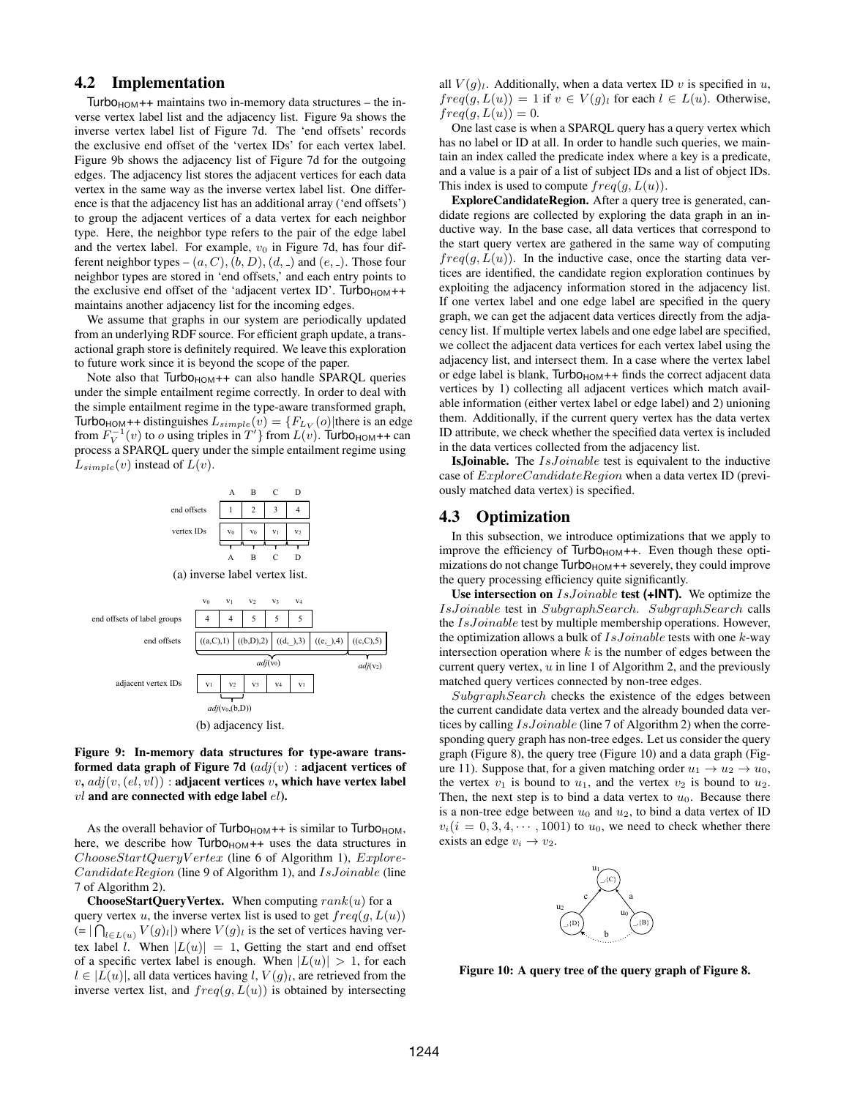#### 4.2 Implementation

 $Turbo<sub>HOM</sub>++$  maintains two in-memory data structures – the inverse vertex label list and the adjacency list. Figure 9a shows the inverse vertex label list of Figure 7d. The 'end offsets' records the exclusive end offset of the 'vertex IDs' for each vertex label. Figure 9b shows the adjacency list of Figure 7d for the outgoing edges. The adjacency list stores the adjacent vertices for each data vertex in the same way as the inverse vertex label list. One difference is that the adjacency list has an additional array ('end offsets') to group the adjacent vertices of a data vertex for each neighbor type. Here, the neighbor type refers to the pair of the edge label and the vertex label. For example,  $v_0$  in Figure 7d, has four different neighbor types –  $(a, C), (b, D), (d, )$  and  $(e, )$ . Those four neighbor types are stored in 'end offsets,' and each entry points to the exclusive end offset of the 'adjacent vertex ID'.  $Turbo<sub>HOM</sub>$ ++ maintains another adjacency list for the incoming edges.

We assume that graphs in our system are periodically updated from an underlying RDF source. For efficient graph update, a transactional graph store is definitely required. We leave this exploration to future work since it is beyond the scope of the paper.

Note also that Turbo<sub>HOM</sub>++ can also handle SPARQL queries under the simple entailment regime correctly. In order to deal with the simple entailment regime in the type-aware transformed graph, **Turbo**<sub>HOM</sub><sup>++</sup> distinguishes  $L_{simple}(v) = {F_{L_V}(o)}$  there is an edge from  $F_V^{-1}(v)$  to *o* using triples in  $T'$ } from  $L(v)$ . Turbo<sub>HOM</sub>++ can process a SPARQL query under the simple entailment regime using  $L_{simple}(v)$  instead of  $L(v)$ .



Figure 9: In-memory data structures for type-aware transformed data graph of Figure 7d  $\left(\frac{adj(v)}{v}\right)$  : adjacent vertices of  $v, adj(v,(el, vl))$  : adjacent vertices v, which have vertex label  $vl$  and are connected with edge label  $el$ ).

As the overall behavior of Turbo $H_{\text{HOM}}$ ++ is similar to Turbo $H_{\text{HOM}}$ , here, we describe how  $Turbo<sub>HOM</sub>++$  uses the data structures in ChooseStartQueryV ertex (line 6 of Algorithm 1), Explore-CandidateRegion (line 9 of Algorithm 1), and IsJoinable (line 7 of Algorithm 2).

**ChooseStartQueryVertex.** When computing  $rank(u)$  for a query vertex u, the inverse vertex list is used to get  $freq(g, L(u))$  $(= |\bigcap_{l \in L(u)} V(g)_l|)$  where  $V(g)_l$  is the set of vertices having vertex label l. When  $|L(u)| = 1$ , Getting the start and end offset of a specific vertex label is enough. When  $|L(u)| > 1$ , for each  $l \in |L(u)|$ , all data vertices having l,  $V(g)$ , are retrieved from the inverse vertex list, and  $freq(g, L(u))$  is obtained by intersecting all  $V(q)_l$ . Additionally, when a data vertex ID v is specified in u,  $freq(g, L(u)) = 1$  if  $v \in V(g)_l$  for each  $l \in L(u)$ . Otherwise,  $freq(g, L(u)) = 0.$ 

One last case is when a SPARQL query has a query vertex which has no label or ID at all. In order to handle such queries, we maintain an index called the predicate index where a key is a predicate, and a value is a pair of a list of subject IDs and a list of object IDs. This index is used to compute  $freq(g, L(u))$ .

ExploreCandidateRegion. After a query tree is generated, candidate regions are collected by exploring the data graph in an inductive way. In the base case, all data vertices that correspond to the start query vertex are gathered in the same way of computing  $freq(g, L(u))$ . In the inductive case, once the starting data vertices are identified, the candidate region exploration continues by exploiting the adjacency information stored in the adjacency list. If one vertex label and one edge label are specified in the query graph, we can get the adjacent data vertices directly from the adjacency list. If multiple vertex labels and one edge label are specified, we collect the adjacent data vertices for each vertex label using the adjacency list, and intersect them. In a case where the vertex label or edge label is blank, Turbo<sub>HOM</sub>++ finds the correct adjacent data vertices by 1) collecting all adjacent vertices which match available information (either vertex label or edge label) and 2) unioning them. Additionally, if the current query vertex has the data vertex ID attribute, we check whether the specified data vertex is included in the data vertices collected from the adjacency list.

IsJoinable. The IsJoinable test is equivalent to the inductive case of  $ExploreC and *idade Region* when a data vertex ID (previ$ ously matched data vertex) is specified.

#### 4.3 Optimization

In this subsection, we introduce optimizations that we apply to improve the efficiency of  $Turbo<sub>HOM</sub>++$ . Even though these optimizations do not change  $Turbo<sub>HOM</sub>++$  severely, they could improve the query processing efficiency quite significantly.

Use intersection on IsJoinable test **(+INT)**. We optimize the IsJoinable test in SubgraphSearch. SubgraphSearch calls the IsJoinable test by multiple membership operations. However, the optimization allows a bulk of  $IsJoinable$  tests with one  $k$ -way intersection operation where  $k$  is the number of edges between the current query vertex,  $u$  in line 1 of Algorithm 2, and the previously matched query vertices connected by non-tree edges.

SubgraphSearch checks the existence of the edges between the current candidate data vertex and the already bounded data vertices by calling IsJoinable (line 7 of Algorithm 2) when the corresponding query graph has non-tree edges. Let us consider the query graph (Figure 8), the query tree (Figure 10) and a data graph (Figure 11). Suppose that, for a given matching order  $u_1 \rightarrow u_2 \rightarrow u_0$ , the vertex  $v_1$  is bound to  $u_1$ , and the vertex  $v_2$  is bound to  $u_2$ . Then, the next step is to bind a data vertex to  $u_0$ . Because there is a non-tree edge between  $u_0$  and  $u_2$ , to bind a data vertex of ID  $v_i(i = 0, 3, 4, \dots, 1001)$  to  $u_0$ , we need to check whether there exists an edge  $v_i \rightarrow v_2$ .



Figure 10: A query tree of the query graph of Figure 8.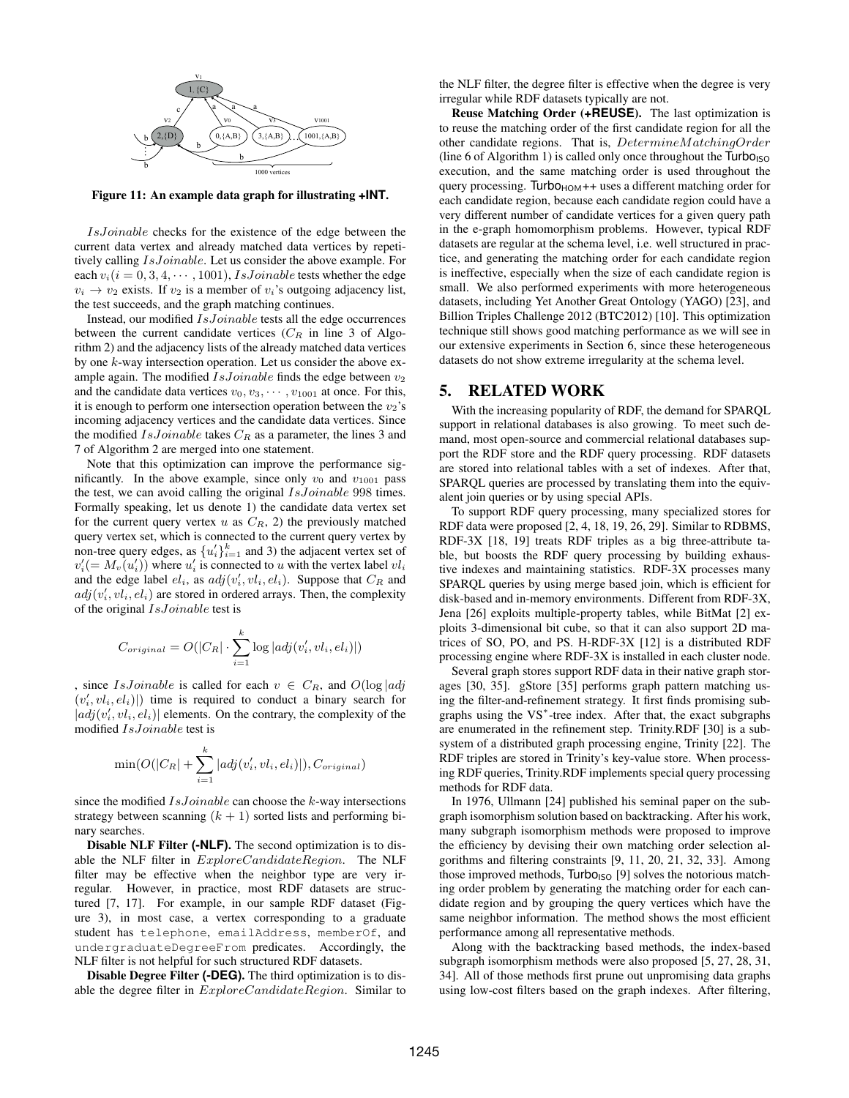

Figure 11: An example data graph for illustrating **+INT**.

IsJoinable checks for the existence of the edge between the current data vertex and already matched data vertices by repetitively calling IsJoinable. Let us consider the above example. For each  $v_i(i = 0, 3, 4, \dots, 1001)$ , *IsJoinable* tests whether the edge  $v_i \rightarrow v_2$  exists. If  $v_2$  is a member of  $v_i$ 's outgoing adjacency list, the test succeeds, and the graph matching continues.

Instead, our modified IsJoinable tests all the edge occurrences between the current candidate vertices  $(C_R$  in line 3 of Algorithm 2) and the adjacency lists of the already matched data vertices by one k-way intersection operation. Let us consider the above example again. The modified  $IsJoinable$  finds the edge between  $v_2$ and the candidate data vertices  $v_0, v_3, \dots, v_{1001}$  at once. For this, it is enough to perform one intersection operation between the  $v_2$ 's incoming adjacency vertices and the candidate data vertices. Since the modified  $IsJoinable$  takes  $C_R$  as a parameter, the lines 3 and 7 of Algorithm 2 are merged into one statement.

Note that this optimization can improve the performance significantly. In the above example, since only  $v_0$  and  $v_{1001}$  pass the test, we can avoid calling the original *IsJoinable* 998 times. Formally speaking, let us denote 1) the candidate data vertex set for the current query vertex u as  $C_R$ , 2) the previously matched query vertex set, which is connected to the current query vertex by non-tree query edges, as  $\{u'_i\}_{i=1}^k$  and 3) the adjacent vertex set of  $v_i'$  (=  $M_v(u_i')$ ) where  $u_i'$  is connected to u with the vertex label  $vl_i$ and the edge label  $el_i$ , as  $adj(v'_i, vl_i, el_i)$ . Suppose that  $C_R$  and  $adj(v'_i, vl_i, el_i)$  are stored in ordered arrays. Then, the complexity of the original *IsJoinable* test is

$$
C_{original} = O(|C_R| \cdot \sum_{i=1}^{k} \log |adj(v'_i, vl_i, el_i)|)
$$

, since *IsJoinable* is called for each  $v \in C_R$ , and  $O(\log |adj)$  $(v'_i, vl_i, el_i)|$ ) time is required to conduct a binary search for  $|adj(v'_i, vl_i, el_i)|$  elements. On the contrary, the complexity of the modified IsJoinable test is

$$
\min(O(|C_R|+\sum_{i=1}^k|adj(v'_i, vl_i, el_i)|), C_{original})
$$

since the modified  $IsJoinable$  can choose the  $k$ -way intersections strategy between scanning  $(k + 1)$  sorted lists and performing binary searches.

Disable NLF Filter **(-NLF)**. The second optimization is to disable the NLF filter in ExploreCandidateRegion. The NLF filter may be effective when the neighbor type are very irregular. However, in practice, most RDF datasets are structured [7, 17]. For example, in our sample RDF dataset (Figure 3), in most case, a vertex corresponding to a graduate student has telephone, emailAddress, memberOf, and undergraduateDegreeFrom predicates. Accordingly, the NLF filter is not helpful for such structured RDF datasets.

Disable Degree Filter **(-DEG)**. The third optimization is to disable the degree filter in  $ExploreC and datai region$ . Similar to the NLF filter, the degree filter is effective when the degree is very irregular while RDF datasets typically are not.

Reuse Matching Order (**+REUSE**). The last optimization is to reuse the matching order of the first candidate region for all the other candidate regions. That is, DetermineMatchingOrder (line 6 of Algorithm 1) is called only once throughout the  $\frac{7}{100}$ execution, and the same matching order is used throughout the query processing. Turbo $H_{\text{HOM}}$ ++ uses a different matching order for each candidate region, because each candidate region could have a very different number of candidate vertices for a given query path in the e-graph homomorphism problems. However, typical RDF datasets are regular at the schema level, i.e. well structured in practice, and generating the matching order for each candidate region is ineffective, especially when the size of each candidate region is small. We also performed experiments with more heterogeneous datasets, including Yet Another Great Ontology (YAGO) [23], and Billion Triples Challenge 2012 (BTC2012) [10]. This optimization technique still shows good matching performance as we will see in our extensive experiments in Section 6, since these heterogeneous datasets do not show extreme irregularity at the schema level.

#### 5. RELATED WORK

With the increasing popularity of RDF, the demand for SPARQL support in relational databases is also growing. To meet such demand, most open-source and commercial relational databases support the RDF store and the RDF query processing. RDF datasets are stored into relational tables with a set of indexes. After that, SPARQL queries are processed by translating them into the equivalent join queries or by using special APIs.

To support RDF query processing, many specialized stores for RDF data were proposed [2, 4, 18, 19, 26, 29]. Similar to RDBMS, RDF-3X [18, 19] treats RDF triples as a big three-attribute table, but boosts the RDF query processing by building exhaustive indexes and maintaining statistics. RDF-3X processes many SPARQL queries by using merge based join, which is efficient for disk-based and in-memory environments. Different from RDF-3X, Jena [26] exploits multiple-property tables, while BitMat [2] exploits 3-dimensional bit cube, so that it can also support 2D matrices of SO, PO, and PS. H-RDF-3X [12] is a distributed RDF processing engine where RDF-3X is installed in each cluster node.

Several graph stores support RDF data in their native graph storages [30, 35]. gStore [35] performs graph pattern matching using the filter-and-refinement strategy. It first finds promising subgraphs using the VS<sup>∗</sup> -tree index. After that, the exact subgraphs are enumerated in the refinement step. Trinity.RDF [30] is a subsystem of a distributed graph processing engine, Trinity [22]. The RDF triples are stored in Trinity's key-value store. When processing RDF queries, Trinity.RDF implements special query processing methods for RDF data.

In 1976, Ullmann [24] published his seminal paper on the subgraph isomorphism solution based on backtracking. After his work, many subgraph isomorphism methods were proposed to improve the efficiency by devising their own matching order selection algorithms and filtering constraints [9, 11, 20, 21, 32, 33]. Among those improved methods, Turbo<sub>ISO</sub> [9] solves the notorious matching order problem by generating the matching order for each candidate region and by grouping the query vertices which have the same neighbor information. The method shows the most efficient performance among all representative methods.

Along with the backtracking based methods, the index-based subgraph isomorphism methods were also proposed [5, 27, 28, 31, 34]. All of those methods first prune out unpromising data graphs using low-cost filters based on the graph indexes. After filtering,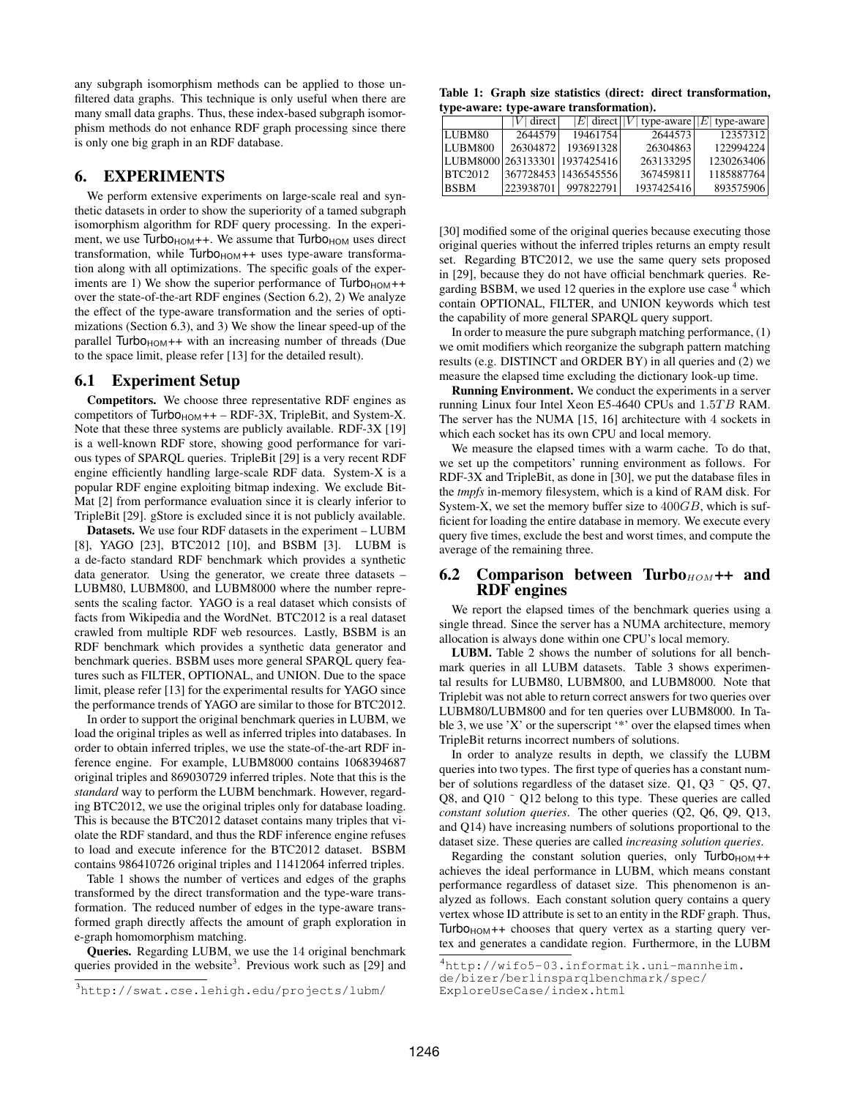any subgraph isomorphism methods can be applied to those unfiltered data graphs. This technique is only useful when there are many small data graphs. Thus, these index-based subgraph isomorphism methods do not enhance RDF graph processing since there is only one big graph in an RDF database.

# 6. EXPERIMENTS

We perform extensive experiments on large-scale real and synthetic datasets in order to show the superiority of a tamed subgraph isomorphism algorithm for RDF query processing. In the experiment, we use  $Turbo_{HOM}++$ . We assume that  $Turbo_{HOM}$  uses direct transformation, while  $Turbo<sub>HOM</sub>++$  uses type-aware transformation along with all optimizations. The specific goals of the experiments are 1) We show the superior performance of  $Turbo<sub>HOM</sub>++$ over the state-of-the-art RDF engines (Section 6.2), 2) We analyze the effect of the type-aware transformation and the series of optimizations (Section 6.3), and 3) We show the linear speed-up of the parallel  $Turbo<sub>HOM</sub>++$  with an increasing number of threads (Due to the space limit, please refer [13] for the detailed result).

#### 6.1 Experiment Setup

Competitors. We choose three representative RDF engines as competitors of  $Turbo<sub>HOM</sub>++ - RDF-3X$ , TripleBit, and System-X. Note that these three systems are publicly available. RDF-3X [19] is a well-known RDF store, showing good performance for various types of SPARQL queries. TripleBit [29] is a very recent RDF engine efficiently handling large-scale RDF data. System-X is a popular RDF engine exploiting bitmap indexing. We exclude Bit-Mat [2] from performance evaluation since it is clearly inferior to TripleBit [29]. gStore is excluded since it is not publicly available.

Datasets. We use four RDF datasets in the experiment – LUBM [8], YAGO [23], BTC2012 [10], and BSBM [3]. LUBM is a de-facto standard RDF benchmark which provides a synthetic data generator. Using the generator, we create three datasets – LUBM80, LUBM800, and LUBM8000 where the number represents the scaling factor. YAGO is a real dataset which consists of facts from Wikipedia and the WordNet. BTC2012 is a real dataset crawled from multiple RDF web resources. Lastly, BSBM is an RDF benchmark which provides a synthetic data generator and benchmark queries. BSBM uses more general SPARQL query features such as FILTER, OPTIONAL, and UNION. Due to the space limit, please refer [13] for the experimental results for YAGO since the performance trends of YAGO are similar to those for BTC2012.

In order to support the original benchmark queries in LUBM, we load the original triples as well as inferred triples into databases. In order to obtain inferred triples, we use the state-of-the-art RDF inference engine. For example, LUBM8000 contains 1068394687 original triples and 869030729 inferred triples. Note that this is the *standard* way to perform the LUBM benchmark. However, regarding BTC2012, we use the original triples only for database loading. This is because the BTC2012 dataset contains many triples that violate the RDF standard, and thus the RDF inference engine refuses to load and execute inference for the BTC2012 dataset. BSBM contains 986410726 original triples and 11412064 inferred triples.

Table 1 shows the number of vertices and edges of the graphs transformed by the direct transformation and the type-ware transformation. The reduced number of edges in the type-aware transformed graph directly affects the amount of graph exploration in e-graph homomorphism matching.

Queries. Regarding LUBM, we use the 14 original benchmark queries provided in the website<sup>3</sup>. Previous work such as  $[29]$  and

Table 1: Graph size statistics (direct: direct transformation, type-aware: type-aware transformation).

|                               | $ V $ direct |                      | E  direct  V  type-aware  E  type-aware |            |
|-------------------------------|--------------|----------------------|-----------------------------------------|------------|
| LUBM80                        | 2644579      | 19461754             | 2644573                                 | 12357312   |
| LUBM800                       | 26304872     | 193691328            | 26304863                                | 122994224  |
| LUBM8000 263133301 1937425416 |              |                      | 263133295                               | 1230263406 |
| <b>BTC2012</b>                |              | 367728453 1436545556 | 367459811                               | 1185887764 |
| <b>BSBM</b>                   | 223938701    | 997822791            | 1937425416                              | 893575906  |

[30] modified some of the original queries because executing those original queries without the inferred triples returns an empty result set. Regarding BTC2012, we use the same query sets proposed in [29], because they do not have official benchmark queries. Regarding BSBM, we used 12 queries in the explore use case  $4$  which contain OPTIONAL, FILTER, and UNION keywords which test the capability of more general SPARQL query support.

In order to measure the pure subgraph matching performance, (1) we omit modifiers which reorganize the subgraph pattern matching results (e.g. DISTINCT and ORDER BY) in all queries and (2) we measure the elapsed time excluding the dictionary look-up time.

Running Environment. We conduct the experiments in a server running Linux four Intel Xeon E5-4640 CPUs and 1.5TB RAM. The server has the NUMA [15, 16] architecture with 4 sockets in which each socket has its own CPU and local memory.

We measure the elapsed times with a warm cache. To do that, we set up the competitors' running environment as follows. For RDF-3X and TripleBit, as done in [30], we put the database files in the *tmpfs* in-memory filesystem, which is a kind of RAM disk. For System-X, we set the memory buffer size to 400GB, which is sufficient for loading the entire database in memory. We execute every query five times, exclude the best and worst times, and compute the average of the remaining three.

#### 6.2 Comparison between Turbo $_{HOM}$ ++ and RDF engines

We report the elapsed times of the benchmark queries using a single thread. Since the server has a NUMA architecture, memory allocation is always done within one CPU's local memory.

LUBM. Table 2 shows the number of solutions for all benchmark queries in all LUBM datasets. Table 3 shows experimental results for LUBM80, LUBM800, and LUBM8000. Note that Triplebit was not able to return correct answers for two queries over LUBM80/LUBM800 and for ten queries over LUBM8000. In Table 3, we use 'X' or the superscript '\*' over the elapsed times when TripleBit returns incorrect numbers of solutions.

In order to analyze results in depth, we classify the LUBM queries into two types. The first type of queries has a constant number of solutions regardless of the dataset size. Q1, Q3  $\degree$  Q5, Q7, Q8, and Q10 ˜ Q12 belong to this type. These queries are called *constant solution queries*. The other queries (Q2, Q6, Q9, Q13, and Q14) have increasing numbers of solutions proportional to the dataset size. These queries are called *increasing solution queries*.

Regarding the constant solution queries, only  $Turbo<sub>HOM</sub>$ ++ achieves the ideal performance in LUBM, which means constant performance regardless of dataset size. This phenomenon is analyzed as follows. Each constant solution query contains a query vertex whose ID attribute is set to an entity in the RDF graph. Thus, Turbo $H$ <sub>HOM</sub>++ chooses that query vertex as a starting query vertex and generates a candidate region. Furthermore, in the LUBM

<sup>3</sup>http://swat.cse.lehigh.edu/projects/lubm/

<sup>4</sup>http://wifo5-03.informatik.uni-mannheim.

de/bizer/berlinsparqlbenchmark/spec/

ExploreUseCase/index.html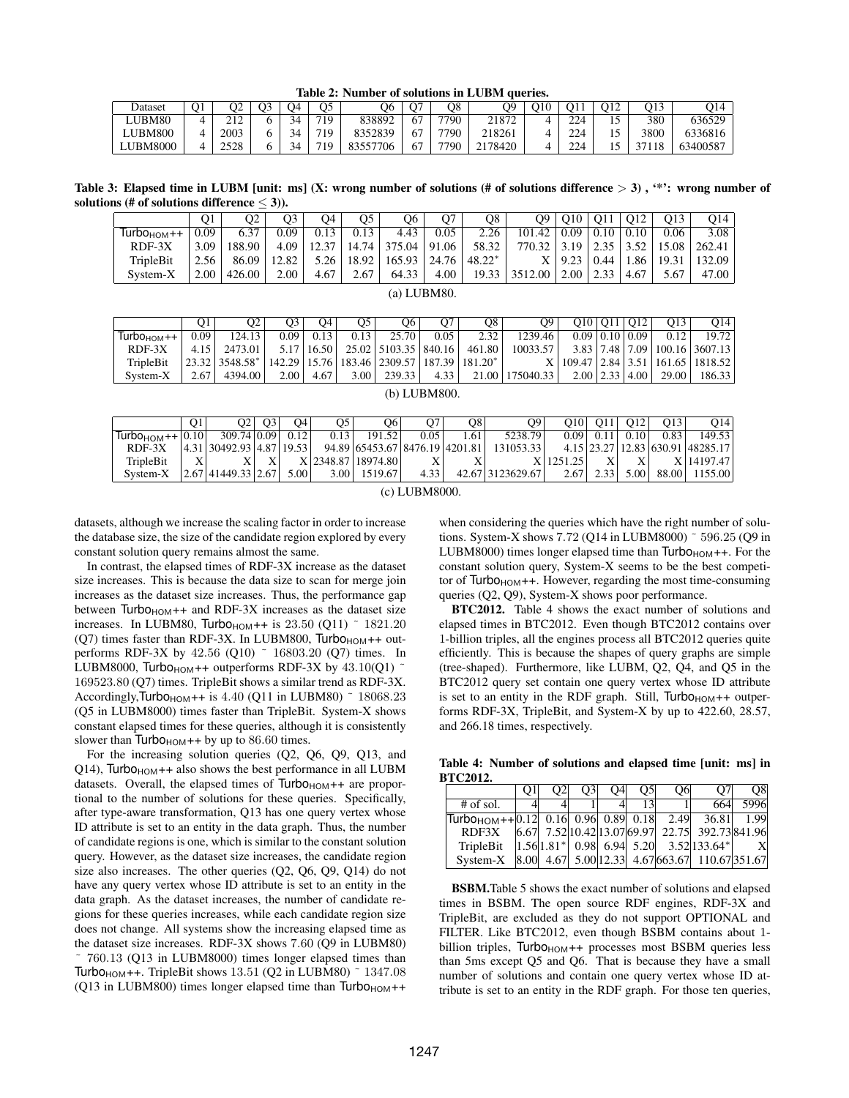Table 2: Number of solutions in LUBM queries.

| Dataset         | O1 | O2   |  | Э4 | O5  | Ο6           |            | O8   | O9      | - 10 | O1        | O12 | О13  |          |  |
|-----------------|----|------|--|----|-----|--------------|------------|------|---------|------|-----------|-----|------|----------|--|
| JBM80           |    |      |  | 34 | 719 | 838892       | $\epsilon$ | 7790 | 21872   |      | 224       |     | 380  | 636529   |  |
| LUBM800         |    | 2003 |  | 34 | 719 | 8352839      | 57         | 7790 | 218261  |      | 224       |     | 3800 | 6336816  |  |
| <b>LUBM8000</b> |    | 2500 |  | 34 | 719 | 83557<br>706 | 67         | 7790 | 2178420 | ↵    | 224<br>-- |     |      | 63400587 |  |

Table 3: Elapsed time in LUBM [unit: ms] (X: wrong number of solutions (# of solutions difference  $> 3$ ), "\*": wrong number of solutions (# of solutions difference  $\leq$  3)).

|                                   | O1   | Э2     | Э3    | J4    | O5    | О6     | Ο7    | O8       | О9      | O10  | O11  | O <sub>12</sub> | O13   | O <sub>14</sub> |
|-----------------------------------|------|--------|-------|-------|-------|--------|-------|----------|---------|------|------|-----------------|-------|-----------------|
| $\sqrt{T}$ urbo <sub>HOM</sub> ++ | 0.09 | 6.37   | 0.09  | 0.13  | 0.13  | 4.43   | 0.05  | 2.26     | 101.42  | 0.09 | 0.10 | 0.10            | 0.06  | 3.08            |
| $RDF-3X$                          | 3.09 | 188.90 | 4.09  | 12.37 | 14.74 | 375.04 | 91.06 | 58.32    | 770.32  | 3.19 |      | 3.52            | 15.08 | 262.41          |
| TripleBit                         | 2.56 | 86.09  | 12.82 | 5.26  | 18.92 | 165.93 | 24.76 | $48.22*$ |         | 9.23 | 0.44 | .86             | 19.31 | 132.09          |
| System-X                          | 2.00 | 426.00 | 2.00  | 4.67  | 2.67  | 64.33  | 4.00  | 19.33    | 3512.00 | 2.00 | 2.33 | 4.67            | 5.67  | 47.00           |

(a) LUBM80.

|              | Ο1   | O2                           | Э3     | Э4    | O5   | О6                         | Ο7     | O8         | Ω9        | O10                | O11 | O <sub>12</sub>      | О13    | O14     |
|--------------|------|------------------------------|--------|-------|------|----------------------------|--------|------------|-----------|--------------------|-----|----------------------|--------|---------|
| $TurboHOM++$ | 0.09 | 124.13                       | 0.09   | 0.13  | 0.13 | 25.70                      | 0.05   | 2.32       | 1239.46   |                    |     | $0.09$   0.10   0.09 | 0.12   | 19.72   |
| $RDF-3X$     | 4.15 | 2473.01                      | 5.17   | 16.50 |      | $25.02$   5103.35          | 840.16 | 461.80     | 10033.57  | 3.83 7.48          |     | 7.09 <sub>1</sub>    | 100.16 | 3607.13 |
| TripleBit    |      | $23.32$ 3548.58 <sup>*</sup> | 142.29 | 15.76 |      | $183.46 \mid 2309.57 \mid$ | 187.39 | $181.20^*$ |           | $109.47 \mid 2.84$ |     | 3.51                 | 161.65 | 1818.52 |
| System-X     | 2.67 | 4394.00                      | 2.00   | 4.67  | 3.00 | 239.33                     | 4.33   | 21.00      | 175040.33 | $2.00 \mid 2.33$   |     | 4.00                 | 29.00  | 186.33  |

(b) LUBM800.

|                                   | O1. | O2                             | O <sub>3</sub> | O4   | O5.  | О6                             |      | O8  | O9 I             | O10     | O <sub>11</sub> | O <sub>12</sub> | O13 <sub>1</sub> | O <sub>14</sub>                  |
|-----------------------------------|-----|--------------------------------|----------------|------|------|--------------------------------|------|-----|------------------|---------|-----------------|-----------------|------------------|----------------------------------|
| Turbo <sub>HOM</sub> + + $ 0.10 $ |     | 309.74 0.09                    |                | 0.12 | 0.13 | 191.52                         | 0.05 | .61 | 5238.79          | 0.091   | 0.11            | $\sqrt{0.10}$   | 0.83             | 149.53                           |
| $RDF-3X$                          |     | 4.31   30492.93   4.87   19.53 |                |      |      | 94.89 65453.67 8476.19 4201.81 |      |     | 131053.33        |         |                 |                 |                  | 4.15 23.27 12.83 630.91 48285.17 |
| TripleBit                         | X   |                                |                |      |      | X 2348.87   18974.80           |      |     |                  | 1251.25 |                 |                 |                  | X 14197.47                       |
| System-X                          |     | 2.67   41449.33   2.67         |                | 5.00 | 3.00 | 1519.67                        | 4.33 |     | 42.67 3123629.67 | 2.67    | 2.33            | 5.00            | 88.00            | 1155.00                          |

(c) LUBM8000.

datasets, although we increase the scaling factor in order to increase the database size, the size of the candidate region explored by every constant solution query remains almost the same.

In contrast, the elapsed times of RDF-3X increase as the dataset size increases. This is because the data size to scan for merge join increases as the dataset size increases. Thus, the performance gap between  $Turbo<sub>HOM</sub>++$  and RDF-3X increases as the dataset size increases. In LUBM80, Turbo $H_{H}$  is 23.50 (Q11)  $\degree$  1821.20 (Q7) times faster than RDF-3X. In LUBM800,  $Turbo<sub>HOM</sub>++ out$ performs RDF-3X by 42.56 (Q10) ~ 16803.20 (Q7) times. In LUBM8000, Turbo<sub>HOM</sub>++ outperforms RDF-3X by  $43.10(Q1)$  ~ 169523.80 (Q7) times. TripleBit shows a similar trend as RDF-3X. Accordingly,Turbo<sub>HOM</sub>++ is 4.40 (Q11 in LUBM80)  $\degree$  18068.23 (Q5 in LUBM8000) times faster than TripleBit. System-X shows constant elapsed times for these queries, although it is consistently slower than  $Turbo<sub>HOM</sub>++ by up to 86.60 times.$ 

For the increasing solution queries (Q2, Q6, Q9, Q13, and Q14), Turbo $H_{HOM}$ ++ also shows the best performance in all LUBM datasets. Overall, the elapsed times of  $Turbo<sub>HOM</sub>++$  are proportional to the number of solutions for these queries. Specifically, after type-aware transformation, Q13 has one query vertex whose ID attribute is set to an entity in the data graph. Thus, the number of candidate regions is one, which is similar to the constant solution query. However, as the dataset size increases, the candidate region size also increases. The other queries (Q2, Q6, Q9, Q14) do not have any query vertex whose ID attribute is set to an entity in the data graph. As the dataset increases, the number of candidate regions for these queries increases, while each candidate region size does not change. All systems show the increasing elapsed time as the dataset size increases. RDF-3X shows 7.60 (Q9 in LUBM80) ˜ 760.13 (Q13 in LUBM8000) times longer elapsed times than Turbo<sub>HOM</sub>++. TripleBit shows 13.51 (Q2 in LUBM80)  $\degree$  1347.08 (Q13 in LUBM800) times longer elapsed time than  $Turbo<sub>HOM</sub>$ ++

when considering the queries which have the right number of solutions. System-X shows 7.72 (Q14 in LUBM8000) ˜ 596.25 (Q9 in LUBM8000) times longer elapsed time than  $Turbo<sub>HOM</sub>++$ . For the constant solution query, System-X seems to be the best competitor of  $Turbo<sub>HOM</sub>++$ . However, regarding the most time-consuming queries (Q2, Q9), System-X shows poor performance.

BTC2012. Table 4 shows the exact number of solutions and elapsed times in BTC2012. Even though BTC2012 contains over 1-billion triples, all the engines process all BTC2012 queries quite efficiently. This is because the shapes of query graphs are simple (tree-shaped). Furthermore, like LUBM, Q2, Q4, and Q5 in the BTC2012 query set contain one query vertex whose ID attribute is set to an entity in the RDF graph. Still,  $Turbo<sub>HOM</sub>++ outper$ forms RDF-3X, TripleBit, and System-X by up to 422.60, 28.57, and 266.18 times, respectively.

Table 4: Number of solutions and elapsed time [unit: ms] in BTC2012.

|                                                                 | O <sub>2</sub> | O <sub>3</sub> | O4l | O <sub>5</sub> | O <sub>6</sub> | O7 <sub>1</sub>                                             | O <sub>8</sub> |
|-----------------------------------------------------------------|----------------|----------------|-----|----------------|----------------|-------------------------------------------------------------|----------------|
| $#$ of sol.                                                     |                |                |     | 13             |                | 664                                                         | 5996           |
|                                                                 |                |                |     |                |                |                                                             |                |
| RDF3X                                                           |                |                |     |                |                | $ 6.67 $ 7.52 $ 10.42 13.07 69.97 $ 22.75 $ 392.73 841.96 $ |                |
| TripleBit $ 1.56 1.81^* $ 0.98 6.94 5.20 3.52 133.64*           |                |                |     |                |                |                                                             |                |
| System-X  8.00  4.67  5.00  12.33  4.67  663.67  110.67  351.67 |                |                |     |                |                |                                                             |                |

BSBM.Table 5 shows the exact number of solutions and elapsed times in BSBM. The open source RDF engines, RDF-3X and TripleBit, are excluded as they do not support OPTIONAL and FILTER. Like BTC2012, even though BSBM contains about 1 billion triples,  $Turbo<sub>HOM</sub>++$  processes most BSBM queries less than 5ms except Q5 and Q6. That is because they have a small number of solutions and contain one query vertex whose ID attribute is set to an entity in the RDF graph. For those ten queries,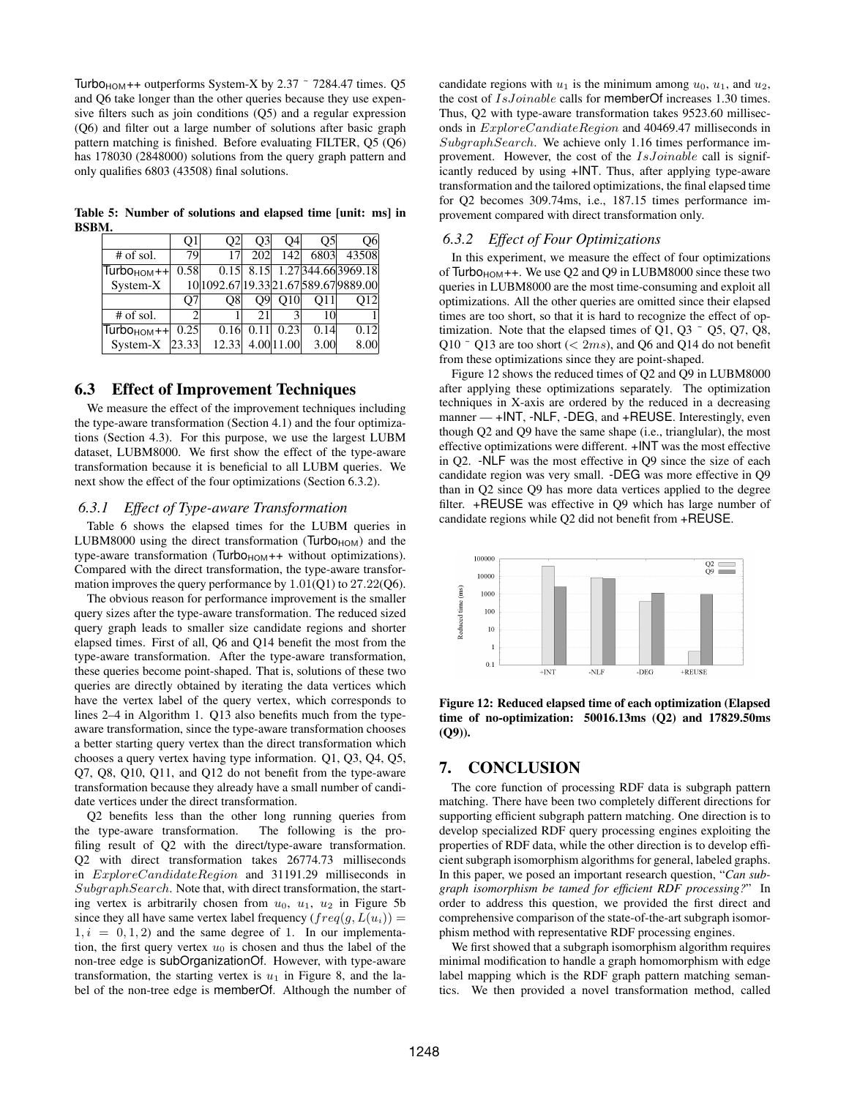Turbo<sub>HOM</sub>++ outperforms System-X by 2.37  $\degree$  7284.47 times. Q5 and Q6 take longer than the other queries because they use expensive filters such as join conditions (Q5) and a regular expression (Q6) and filter out a large number of solutions after basic graph pattern matching is finished. Before evaluating FILTER, Q5 (Q6) has 178030 (2848000) solutions from the query graph pattern and only qualifies 6803 (43508) final solutions.

Table 5: Number of solutions and elapsed time [unit: ms] in BSBM.

|                         | Q1    | Ο2    | O3  | Ο4         | O5   | Э6                                    |
|-------------------------|-------|-------|-----|------------|------|---------------------------------------|
| $#$ of sol.             | 79    | 17    | 202 | 142        | 6803 | 43508                                 |
| $TurboHOM++ $           | 0.58  | 0.15  |     |            |      | 8.15 1.27 344.66 3969.18              |
| System-X                |       |       |     |            |      | 10 1092.67 19.33 21.67 589.67 9889.00 |
|                         | O7    | O8    | O91 | O10        | O11  | 012                                   |
| # of sol.               | ◠     |       | 21  |            | 10   |                                       |
| Turbo <sub>HOM</sub> ++ | 0.25  | 0.16  |     | 0.23       | 0.14 | 0.12                                  |
| System-X                | 23.33 | 12.33 |     | 4.00 11.00 | 3.00 | 8.00                                  |

#### 6.3 Effect of Improvement Techniques

We measure the effect of the improvement techniques including the type-aware transformation (Section 4.1) and the four optimizations (Section 4.3). For this purpose, we use the largest LUBM dataset, LUBM8000. We first show the effect of the type-aware transformation because it is beneficial to all LUBM queries. We next show the effect of the four optimizations (Section 6.3.2).

## *6.3.1 Effect of Type-aware Transformation*

Table 6 shows the elapsed times for the LUBM queries in LUBM8000 using the direct transformation ( $Turbo<sub>HOM</sub>$ ) and the type-aware transformation ( $Turbo<sub>HOM</sub>++$  without optimizations). Compared with the direct transformation, the type-aware transformation improves the query performance by 1.01(Q1) to 27.22(Q6).

The obvious reason for performance improvement is the smaller query sizes after the type-aware transformation. The reduced sized query graph leads to smaller size candidate regions and shorter elapsed times. First of all, Q6 and Q14 benefit the most from the type-aware transformation. After the type-aware transformation, these queries become point-shaped. That is, solutions of these two queries are directly obtained by iterating the data vertices which have the vertex label of the query vertex, which corresponds to lines 2–4 in Algorithm 1. Q13 also benefits much from the typeaware transformation, since the type-aware transformation chooses a better starting query vertex than the direct transformation which chooses a query vertex having type information. Q1, Q3, Q4, Q5, Q7, Q8, Q10, Q11, and Q12 do not benefit from the type-aware transformation because they already have a small number of candidate vertices under the direct transformation.

Q2 benefits less than the other long running queries from the type-aware transformation. The following is the profiling result of Q2 with the direct/type-aware transformation. Q2 with direct transformation takes 26774.73 milliseconds in ExploreCandidateRegion and 31191.29 milliseconds in SubgraphSearch. Note that, with direct transformation, the starting vertex is arbitrarily chosen from  $u_0$ ,  $u_1$ ,  $u_2$  in Figure 5b since they all have same vertex label frequency  $(freq(g, L(u_i)) =$  $1, i = 0, 1, 2$  and the same degree of 1. In our implementation, the first query vertex  $u_0$  is chosen and thus the label of the non-tree edge is subOrganizationOf. However, with type-aware transformation, the starting vertex is  $u_1$  in Figure 8, and the label of the non-tree edge is memberOf. Although the number of candidate regions with  $u_1$  is the minimum among  $u_0$ ,  $u_1$ , and  $u_2$ , the cost of IsJoinable calls for memberOf increases 1.30 times. Thus, Q2 with type-aware transformation takes 9523.60 milliseconds in ExploreCandiateRegion and 40469.47 milliseconds in SubgraphSearch. We achieve only 1.16 times performance improvement. However, the cost of the IsJoinable call is significantly reduced by using +INT. Thus, after applying type-aware transformation and the tailored optimizations, the final elapsed time for Q2 becomes 309.74ms, i.e., 187.15 times performance improvement compared with direct transformation only.

#### *6.3.2 Effect of Four Optimizations*

In this experiment, we measure the effect of four optimizations of Turbo $H$ <sub>HOM</sub>++. We use Q2 and Q9 in LUBM8000 since these two queries in LUBM8000 are the most time-consuming and exploit all optimizations. All the other queries are omitted since their elapsed times are too short, so that it is hard to recognize the effect of optimization. Note that the elapsed times of Q1, Q3  $\degree$  Q5, Q7, Q8, Q10  $\degree$  Q13 are too short (< 2ms), and Q6 and Q14 do not benefit from these optimizations since they are point-shaped.

Figure 12 shows the reduced times of Q2 and Q9 in LUBM8000 after applying these optimizations separately. The optimization techniques in X-axis are ordered by the reduced in a decreasing manner — +INT, -NLF, -DEG, and +REUSE. Interestingly, even though Q2 and Q9 have the same shape (i.e., trianglular), the most effective optimizations were different. +INT was the most effective in Q2. -NLF was the most effective in Q9 since the size of each candidate region was very small. -DEG was more effective in Q9 than in Q2 since Q9 has more data vertices applied to the degree filter. +REUSE was effective in Q9 which has large number of candidate regions while Q2 did not benefit from +REUSE.



Figure 12: Reduced elapsed time of each optimization (Elapsed time of no-optimization: 50016.13ms (Q2) and 17829.50ms (Q9)).

## 7. CONCLUSION

The core function of processing RDF data is subgraph pattern matching. There have been two completely different directions for supporting efficient subgraph pattern matching. One direction is to develop specialized RDF query processing engines exploiting the properties of RDF data, while the other direction is to develop efficient subgraph isomorphism algorithms for general, labeled graphs. In this paper, we posed an important research question, "*Can subgraph isomorphism be tamed for efficient RDF processing?*" In order to address this question, we provided the first direct and comprehensive comparison of the state-of-the-art subgraph isomorphism method with representative RDF processing engines.

We first showed that a subgraph isomorphism algorithm requires minimal modification to handle a graph homomorphism with edge label mapping which is the RDF graph pattern matching semantics. We then provided a novel transformation method, called